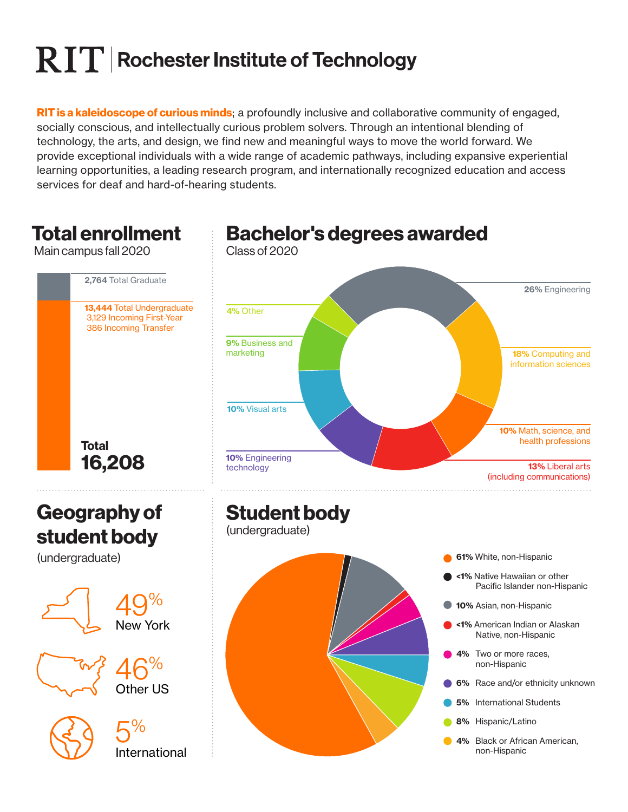# $\mathbf{R}$   $\mathbf{T}$  Rochester Institute of Technology

**RIT is a kaleidoscope of curious minds**; a profoundly inclusive and collaborative community of engaged, socially conscious, and intellectually curious problem solvers. Through an intentional blending of technology, the arts, and design, we find new and meaningful ways to move the world forward. We provide exceptional individuals with a wide range of academic pathways, including expansive experiential learning opportunities, a leading research program, and internationally recognized education and access services for deaf and hard-of-hearing students.

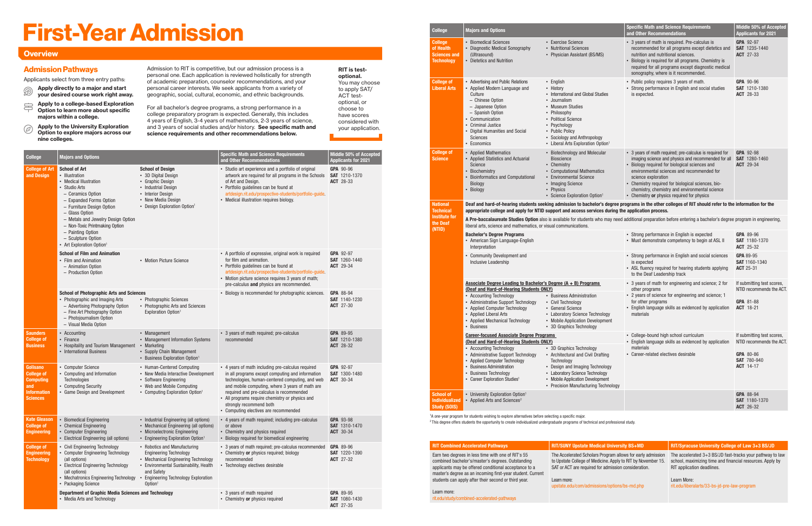| College                                                                                           | <b>Majors and Options</b>                                                                                                                                                                                                                                                                                                                    |                                                                                                                                                                                                                             | <b>Specific Math and Science Requirements</b><br>and Other Recommendations                                                                                                                                                                                                                                                                                                     | Middle 50% of Accepted<br><b>Applicants for 2021</b>  |
|---------------------------------------------------------------------------------------------------|----------------------------------------------------------------------------------------------------------------------------------------------------------------------------------------------------------------------------------------------------------------------------------------------------------------------------------------------|-----------------------------------------------------------------------------------------------------------------------------------------------------------------------------------------------------------------------------|--------------------------------------------------------------------------------------------------------------------------------------------------------------------------------------------------------------------------------------------------------------------------------------------------------------------------------------------------------------------------------|-------------------------------------------------------|
| <b>College of Art</b><br>and Design                                                               | <b>School of Art</b><br>• Illustration<br>• Medical Illustration<br>• Studio Arts<br>- Ceramics Option<br>- Expanded Forms Option<br>- Furniture Design Option<br>- Glass Option<br>- Metals and Jewelry Design Option<br>- Non-Toxic Printmaking Option<br>- Painting Option<br>- Sculpture Option<br>• Art Exploration Option <sup>1</sup> | <b>School of Design</b><br>• 3D Digital Design<br>• Graphic Design<br>• Industrial Design<br>• Interior Design<br>• New Media Design<br>• Design Exploration Option <sup>1</sup>                                            | • Studio art experience and a portfolio of original<br>artwork are required for all programs in the Schools<br>of Art and Design.<br>• Portfolio quidelines can be found at<br>artdesign.rit.edu/prospective-students/portfolio-quide.<br>• Medical illustration requires biology.                                                                                             | GPA 90-96<br><b>SAT</b> 1210-1370<br>ACT 28-33        |
|                                                                                                   | <b>School of Film and Animation</b><br>• Film and Animation<br>- Animation Option<br>- Production Option                                                                                                                                                                                                                                     | • Motion Picture Science                                                                                                                                                                                                    | • A portfolio of expressive, original work is required<br>for film and animation.<br>• Portfolio guidelines can be found at<br>artdesign.rit.edu/prospective-students/portfolio-guide.<br>• Motion picture science requires 3 years of math;<br>pre-calculus and physics are recommended.                                                                                      | GPA 92-97<br><b>SAT</b> 1260-1440<br>ACT 29-34        |
|                                                                                                   | <b>School of Photographic Arts and Sciences</b><br>• Photographic and Imaging Arts<br>- Advertising Photography Option<br>- Fine Art Photography Option<br>- Photojournalism Option<br>- Visual Media Option                                                                                                                                 | • Photographic Sciences<br>• Photographic Arts and Sciences<br>Exploration Option <sup>1</sup>                                                                                                                              | • Biology is recommended for photographic sciences.                                                                                                                                                                                                                                                                                                                            | GPA 88-94<br><b>SAT</b> 1140-1230<br><b>ACT</b> 27-30 |
| <b>Saunders</b><br><b>College of</b><br><b>Business</b>                                           | • Accounting<br>• Finance<br>• Hospitality and Tourism Management<br>• International Business                                                                                                                                                                                                                                                | • Management<br>• Management Information Systems<br>• Marketing<br>• Supply Chain Management<br>• Business Exploration Option <sup>1</sup>                                                                                  | • 3 years of math required; pre-calculus<br>recommended                                                                                                                                                                                                                                                                                                                        | GPA 89-95<br>SAT 1210-1380<br><b>ACT 28-32</b>        |
| Golisano<br><b>College of</b><br><b>Computing</b><br>and<br><b>Information</b><br><b>Sciences</b> | • Computer Science<br>• Computing and Information<br><b>Technologies</b><br>• Computing Security<br>• Game Design and Development                                                                                                                                                                                                            | • Human-Centered Computing<br>• New Media Interactive Development<br>• Software Engineering<br>• Web and Mobile Computing<br>• Computing Exploration Option <sup>1</sup>                                                    | • 4 years of math including pre-calculus required<br>in all programs except computing and information<br>technologies, human-centered computing, and web<br>and mobile computing, where 3 years of math are<br>required and pre-calculus is recommended<br>• All programs require chemistry or physics and<br>strongly recommend both<br>• Computing electives are recommended | GPA 92-97<br>SAT 1300-1480<br>ACT 30-34               |
| <b>Kate Gleason</b><br><b>College of</b><br><b>Engineering</b>                                    | • Biomedical Engineering<br>• Chemical Engineering<br>• Computer Engineering<br>• Electrical Engineering (all options)                                                                                                                                                                                                                       | • Industrial Engineering (all options)<br>• Mechanical Engineering (all options)<br>• Microelectronic Engineering<br>• Engineering Exploration Option <sup>1</sup>                                                          | • 4 years of math required; including pre-calculus<br>or above<br>• Chemistry and physics required<br>• Biology required for biomedical engineering                                                                                                                                                                                                                            | GPA 93-98<br><b>SAT</b> 1310-1470<br><b>ACT</b> 30-34 |
| <b>College of</b><br><b>Engineering</b><br><b>Technology</b>                                      | • Civil Engineering Technology<br>• Computer Engineering Technology<br>(all options)<br>• Electrical Engineering Technology<br>(all options)<br>• Mechatronics Engineering Technology<br>• Packaging Science                                                                                                                                 | • Robotics and Manufacturing<br><b>Engineering Technology</b><br>• Mechanical Engineering Technology<br>• Environmental Sustainability, Health<br>and Safety<br>• Engineering Technology Exploration<br>Option <sup>1</sup> | • 3 years of math required; pre-calculus recommended<br>• Chemistry or physics required; biology<br>recommended<br>• Technology electives desirable                                                                                                                                                                                                                            | GPA 89-96<br>SAT 1220-1390<br>ACT 27-32               |
|                                                                                                   | Department of Graphic Media Sciences and Technology<br>• Media Arts and Technology                                                                                                                                                                                                                                                           |                                                                                                                                                                                                                             | • 3 years of math required<br>• Chemistry or physics required                                                                                                                                                                                                                                                                                                                  | GPA 89-95<br>SAT 1080-1430<br>ACT 27-35               |

- Apply directly to a major and start your desired course work right away.  $\circledR$
- $\implies$  Apply to a college-based Exploration<br>Queen to learn more about specific Option to learn more about specific majors within a college.
- Apply to the University Exploration Option to explore majors across our nine colleges.  $\circledcirc$

# First-Year Admission

#### **Overview**

Admission to RIT is competitive, but our admission process is a personal one. Each application is reviewed holistically for strength of academic preparation, counselor recommendations, and your personal career interests. We seek applicants from a variety of geographic, social, cultural, economic, and ethnic backgrounds.

For all bachelor's degree programs, a strong performance in a college preparatory program is expected. Generally, this includes 4 years of English, 3-4 years of mathematics, 2-3 years of science, and 3 years of social studies and/or history. See specific math and science requirements and other recommendations below.

RIT is testoptional. You may choose to apply SAT/

ACT testoptional, or choose to have scores considered with your application.

#### Admission Pathways

Applicants select from three entry paths:

| <b>College</b>                                                          | <b>Majors and Options</b>                                                                                                                                                                                                                                                                                        |                                                                                                                                                                                                                                                              | <b>Specific Math and Science Requirements</b><br>and Other Recommendations                                                                                                                                                                                                                                                                                                                    | Middle 50% of Accepted<br><b>Applicants for 2021</b>                                                                 |  |  |
|-------------------------------------------------------------------------|------------------------------------------------------------------------------------------------------------------------------------------------------------------------------------------------------------------------------------------------------------------------------------------------------------------|--------------------------------------------------------------------------------------------------------------------------------------------------------------------------------------------------------------------------------------------------------------|-----------------------------------------------------------------------------------------------------------------------------------------------------------------------------------------------------------------------------------------------------------------------------------------------------------------------------------------------------------------------------------------------|----------------------------------------------------------------------------------------------------------------------|--|--|
| <b>College</b><br>of Health<br><b>Sciences and</b><br><b>Technology</b> | • Biomedical Sciences<br>• Diagnostic Medical Sonography<br>(Ultrasound)<br>• Dietetics and Nutrition                                                                                                                                                                                                            | • Exercise Science<br>• Nutritional Sciences<br>• Physician Assistant (BS/MS)                                                                                                                                                                                | • 3 years of math is required. Pre-calculus is<br>recommended for all programs except dietetics and<br>nutrition and nutritional sciences.<br>• Biology is required for all programs. Chemistry is<br>required for all programs except diagnostic medical<br>sonography, where is it recommended.                                                                                             | GPA 92-97<br><b>SAT</b> 1235-1440<br><b>ACT</b> 27-33                                                                |  |  |
| <b>College of</b><br><b>Liberal Arts</b>                                | • Advertising and Public Relations<br>• Applied Modern Language and<br>Culture<br>- Chinese Option<br>- Japanese Option<br>- Spanish Option<br>Communication<br><b>Criminal Justice</b><br>Digital Humanities and Social<br><b>Sciences</b><br>• Economics                                                       | • English<br>• History<br>• International and Global Studies<br>• Journalism<br>• Museum Studies<br>• Philosophy<br>• Political Science<br>• Psychology<br>• Public Policy<br>• Sociology and Anthropology<br>• Liberal Arts Exploration Option <sup>1</sup> | • Public policy requires 3 years of math.<br>• Strong performance in English and social studies<br>is expected.                                                                                                                                                                                                                                                                               | GPA 90-96<br><b>SAT</b> 1210-1380<br><b>ACT</b> 28-33                                                                |  |  |
| <b>College of</b><br><b>Science</b>                                     | • Applied Mathematics<br><b>Applied Statistics and Actuarial</b><br>Science<br>Biochemistry<br><b>Bioinformatics and Computational</b><br><b>Biology</b><br>Biology                                                                                                                                              | • Biotechnology and Molecular<br><b>Bioscience</b><br>• Chemistry<br>• Computational Mathematics<br>• Environmental Science<br>• Imaging Science<br>• Physics<br>• Science Exploration Option <sup>1</sup>                                                   | • 3 years of math required; pre-calculus is required for<br>imaging science and physics and recommended for all<br>• Biology required for biological sciences and<br>environmental sciences and recommended for<br>science exploration<br>• Chemistry required for biological sciences, bio-<br>chemistry, chemistry and environmental science<br>• Chemistry or physics required for physics | GPA 92-98<br>SAT 1280-1460<br><b>ACT</b> 29-34                                                                       |  |  |
| <b>National</b><br><b>Technical</b>                                     | Deaf and hard-of-hearing students seeking admission to bachelor's degree programs in the other colleges of RIT should refer to the information for the<br>appropriate college and apply for NTID support and access services during the application process.                                                     |                                                                                                                                                                                                                                                              |                                                                                                                                                                                                                                                                                                                                                                                               |                                                                                                                      |  |  |
| <b>Institute for</b><br>the Deaf                                        | <b>A Pre-baccalaureate Studies Option</b> also is available for students who may need additional preparation before entering a bachelor's degree program in engineering,<br>liberal arts, science and mathematics, or visual communications.                                                                     |                                                                                                                                                                                                                                                              |                                                                                                                                                                                                                                                                                                                                                                                               |                                                                                                                      |  |  |
| (NTID)                                                                  | <b>Bachelor's Degree Programs</b><br>• American Sign Language-English<br>Interpretation                                                                                                                                                                                                                          |                                                                                                                                                                                                                                                              | • Strong performance in English is expected<br>• Must demonstrate competency to begin at ASL II                                                                                                                                                                                                                                                                                               | GPA 89-96<br><b>SAT</b> 1180-1370<br><b>ACT</b> 25-32                                                                |  |  |
|                                                                         | <b>Community Development and</b><br>Inclusive Leadership                                                                                                                                                                                                                                                         |                                                                                                                                                                                                                                                              | • Strong performance in English and social sciences<br>is expected<br>• ASL fluency required for hearing students applying<br>to the Deaf Leadership track                                                                                                                                                                                                                                    | GPA 89-95<br><b>SAT 1160-1340</b><br><b>ACT 25-31</b>                                                                |  |  |
|                                                                         | Associate Degree Leading to Bachelor's Degree (A + B) Programs<br>(Deaf and Hard-of-Hearing Students ONLY)<br>• Accounting Technology<br><b>Administrative Support Technology</b><br>• Applied Computer Technology<br>• Applied Liberal Arts<br>• Applied Mechanical Technology<br>• Business                    | • Business Administration<br>• Civil Technology<br>• General Science<br>• Laboratory Science Technology<br>• Mobile Application Development<br>• 3D Graphics Technology                                                                                      | • 3 years of math for engineering and science; 2 for<br>other programs<br>• 2 years of science for engineering and science; 1<br>for other programs<br>• English language skills as evidenced by application<br>materials                                                                                                                                                                     | If submitting test scores,<br>NTID recommends the ACT.<br>GPA 81-88<br><b>ACT</b> 18-21                              |  |  |
|                                                                         | <b>Career-focused Associate Degree Programs</b><br>(Deaf and Hard-of-Hearing Students ONLY)<br>• Accounting Technology<br>• Administrative Support Technology<br><b>Applied Computer Technology</b><br><b>Business Administration</b><br><b>Business Technology</b><br>• Career Exploration Studies <sup>1</sup> | • 3D Graphics Technology<br>• Architectural and Civil Drafting<br>Technology<br>• Design and Imaging Technology<br>• Laboratory Science Technology<br>• Mobile Application Development                                                                       | • College-bound high school curriculum<br>• English language skills as evidenced by application<br>materials<br>• Career-related electives desirable                                                                                                                                                                                                                                          | If submitting test scores,<br>NTID recommends the ACT.<br><b>GPA 80-86</b><br><b>SAT 780-940</b><br><b>ACT</b> 14-17 |  |  |
|                                                                         |                                                                                                                                                                                                                                                                                                                  | • Precision Manufacturing Technology                                                                                                                                                                                                                         |                                                                                                                                                                                                                                                                                                                                                                                               |                                                                                                                      |  |  |

| <b>RIT Combined Accelerated Pathways</b>                                                                                                                                                                                       | <b>RIT/SUNY Upstate Medical University BS+MD</b>                                                                                                                                    | RIT/Syracuse University College of Law 3+3 BS/JD                                                                                                     |
|--------------------------------------------------------------------------------------------------------------------------------------------------------------------------------------------------------------------------------|-------------------------------------------------------------------------------------------------------------------------------------------------------------------------------------|------------------------------------------------------------------------------------------------------------------------------------------------------|
| Earn two degrees in less time with one of RIT's 55<br>combined bachelor's/master's degrees. Outstanding<br>applicants may be offered conditional acceptance to a<br>master's degree as an incoming first-year student. Current | The Accelerated Scholars Program allows for early admission<br>to Upstate College of Medicine. Apply to RIT by November 15.<br>SAT or ACT are required for admission consideration. | The accelerated 3+3 BS/JD fast-tracks your pathway to law<br>school, maximizing time and financial resources. Apply by<br>RIT application deadlines. |
| students can apply after their second or third year.                                                                                                                                                                           | Learn more:<br>upstate.edu/com/admissions/options/bs-md.php                                                                                                                         | Learn More:<br>rit.edu/liberalarts/33-bs-jd-pre-law-program                                                                                          |
| Learn more:<br>rit.edu/study/combined-accelerated-pathways                                                                                                                                                                     |                                                                                                                                                                                     |                                                                                                                                                      |